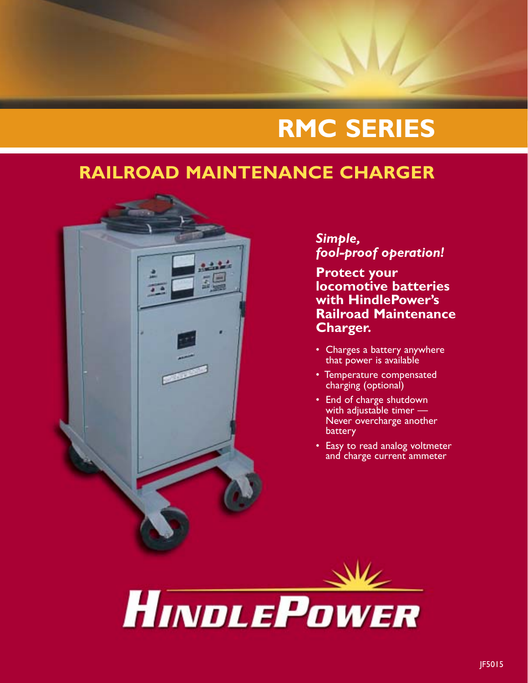# **RMC SERIES**

## **RAILROAD MAINTENANCE CHARGER**



#### *Simple, fool-proof operation!*

**Protect your locomotive batteries with HindlePower's Railroad Maintenance Charger.**

- Charges a battery anywhere that power is available
- Temperature compensated charging (optional)
- End of charge shutdown with adjustable timer — Never overcharge another battery
- Easy to read analog voltmeter and charge current ammeter